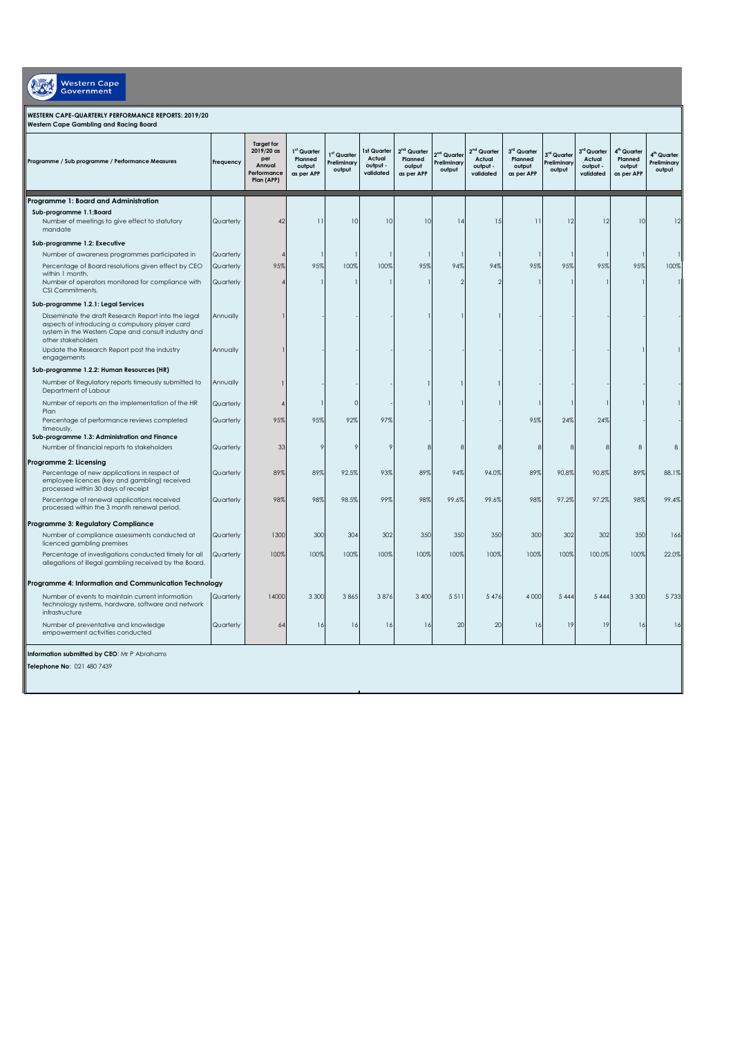| <b>Western Cape</b><br><b>Government</b>                                                                                                                                                                                             |                        |                                                                                 |                                                |                                                  |                                                |                                                  |                                                  |                                                  |                                                |                                                  |                                                  |                                                            |                                                  |
|--------------------------------------------------------------------------------------------------------------------------------------------------------------------------------------------------------------------------------------|------------------------|---------------------------------------------------------------------------------|------------------------------------------------|--------------------------------------------------|------------------------------------------------|--------------------------------------------------|--------------------------------------------------|--------------------------------------------------|------------------------------------------------|--------------------------------------------------|--------------------------------------------------|------------------------------------------------------------|--------------------------------------------------|
| WESTERN CAPE-QUARTERLY PERFORMANCE REPORTS: 2019/20<br>Western Cape Gambling and Racing Board                                                                                                                                        |                        |                                                                                 |                                                |                                                  |                                                |                                                  |                                                  |                                                  |                                                |                                                  |                                                  |                                                            |                                                  |
| Programme / Sub programme / Performance Measures                                                                                                                                                                                     | Frequency              | <b>Target for</b><br>$2019/20$ as<br>per<br>Annual<br>Performance<br>Plan (APP) | 1st Quarter<br>Planned<br>output<br>as per APP | 1 <sup>st</sup> Quarter<br>Preliminary<br>output | 1st Quarter<br>Actual<br>output -<br>validated | $2nd$ Quarter<br>Planned<br>output<br>as per APP | 2 <sup>nd</sup> Quarter<br>Preliminary<br>output | $2nd$ Quarter<br>Actual<br>output -<br>validated | 3rd Quarter<br>Planned<br>output<br>as per APP | 3 <sup>rd</sup> Quarter<br>Preliminary<br>output | $3rd$ Quarter<br>Actual<br>output -<br>validated | 4 <sup>th</sup> Quarter<br>Planned<br>output<br>as per APP | 4 <sup>th</sup> Quarter<br>Preliminary<br>output |
| Programme 1: Board and Administration                                                                                                                                                                                                |                        |                                                                                 |                                                |                                                  |                                                |                                                  |                                                  |                                                  |                                                |                                                  |                                                  |                                                            |                                                  |
| Sub-programme 1.1:Board<br>Number of meetings to give effect to statutory<br>mandate                                                                                                                                                 | Quarterly              | 42                                                                              | 11                                             | 10                                               | 10                                             | 10                                               | 14                                               | 1.5                                              | 11                                             | 12                                               | 12                                               | 10                                                         | 12                                               |
| Sub-programme 1.2: Executive                                                                                                                                                                                                         |                        |                                                                                 |                                                |                                                  |                                                |                                                  |                                                  |                                                  |                                                |                                                  |                                                  |                                                            |                                                  |
| Number of awareness programmes participated in                                                                                                                                                                                       | Quarterly              |                                                                                 |                                                |                                                  |                                                |                                                  |                                                  |                                                  |                                                |                                                  |                                                  |                                                            |                                                  |
| Percentage of Board resolutions given effect by CEO<br>within 1 month.                                                                                                                                                               | Quarterly              | 95%                                                                             | 95%                                            | 100%                                             | 100%                                           | 95%                                              | 94%                                              | 94%                                              | 95%                                            | 95%                                              | 95%                                              | 95%                                                        | 100%                                             |
| Number of operators monitored for compliance with<br>CSI Commitments.                                                                                                                                                                | Quarterly              |                                                                                 |                                                |                                                  |                                                |                                                  |                                                  |                                                  |                                                |                                                  |                                                  |                                                            |                                                  |
| Sub-programme 1.2.1: Legal Services                                                                                                                                                                                                  |                        |                                                                                 |                                                |                                                  |                                                |                                                  |                                                  |                                                  |                                                |                                                  |                                                  |                                                            |                                                  |
| Disseminate the draft Research Report into the legal<br>aspects of introducing a compulsory player card<br>system in the Western Cape and consult industry and<br>other stakeholders<br>Update the Research Report post the industry | Annually<br>Annually   |                                                                                 |                                                |                                                  |                                                |                                                  |                                                  |                                                  |                                                |                                                  |                                                  |                                                            |                                                  |
| engagements                                                                                                                                                                                                                          |                        |                                                                                 |                                                |                                                  |                                                |                                                  |                                                  |                                                  |                                                |                                                  |                                                  |                                                            |                                                  |
| Sub-programme 1.2.2: Human Resources (HR)                                                                                                                                                                                            |                        |                                                                                 |                                                |                                                  |                                                |                                                  |                                                  |                                                  |                                                |                                                  |                                                  |                                                            |                                                  |
| Number of Regulatory reports timeously submitted to<br>Department of Labour                                                                                                                                                          | Annually               |                                                                                 |                                                |                                                  |                                                |                                                  |                                                  |                                                  |                                                |                                                  |                                                  |                                                            |                                                  |
| Number of reports on the implementation of the HR<br>Plan<br>Percentage of performance reviews completed                                                                                                                             | Quarterly<br>Quarterly | 95%                                                                             | 95%                                            | 92%                                              | 97%                                            |                                                  |                                                  |                                                  | 95%                                            | 24%                                              | 24%                                              |                                                            |                                                  |
| timeously.<br>Sub-programme 1.3: Administration and Finance                                                                                                                                                                          |                        |                                                                                 |                                                |                                                  |                                                |                                                  |                                                  |                                                  |                                                |                                                  |                                                  |                                                            |                                                  |
| Number of financial reports to stakeholders                                                                                                                                                                                          | Quarterly              | 33                                                                              | 9                                              |                                                  | Ç                                              | $\mathcal{R}$                                    |                                                  |                                                  | $\mathcal{B}$                                  | s                                                | $\mathcal{R}$                                    | $\,$ 8 $\,$                                                | $\,$ 8 $\,$                                      |
| Programme 2: Licensing                                                                                                                                                                                                               |                        |                                                                                 |                                                |                                                  |                                                |                                                  |                                                  |                                                  |                                                |                                                  |                                                  |                                                            |                                                  |
| Percentage of new applications in respect of<br>employee licences (key and gambling) received<br>processed within 30 days of receipt                                                                                                 | Quarterly              | 89%                                                                             | 89%                                            | 92.5%                                            | 93%                                            | 89%                                              | 94%                                              | 94.0%                                            | 89%                                            | 90.8%                                            | 90.8%                                            | 89%                                                        | 88.1%                                            |
| Percentage of renewal applications received<br>processed within the 3 month renewal period.                                                                                                                                          | Quarterly              | 98%                                                                             | 98%                                            | 98.5%                                            | 99%                                            | 98%                                              | 99.6%                                            | 99.6%                                            | 98%                                            | 97.2%                                            | 97.2%                                            | 98%                                                        | 99.4%                                            |
| Programme 3: Regulatory Compliance                                                                                                                                                                                                   |                        |                                                                                 |                                                |                                                  |                                                |                                                  |                                                  |                                                  |                                                |                                                  |                                                  |                                                            |                                                  |
| Number of compliance assessments conducted at<br>licenced gambling premises                                                                                                                                                          | Quarterly              | 1300                                                                            | 300                                            | 304                                              | 302                                            | 350                                              | 350                                              | 350                                              | 300                                            | 302                                              | 302                                              | 350                                                        | 166                                              |
| Percentage of investigations conducted timely for all<br>allegations of illegal gambling received by the Board.                                                                                                                      | Quarterly              | 100%                                                                            | 100%                                           | 100%                                             | 100%                                           | 100%                                             | 100%                                             | 100%                                             | 100%                                           | 100%                                             | 100.0%                                           | 100%                                                       | 22.0%                                            |
| Programme 4: Information and Communication Technology                                                                                                                                                                                |                        |                                                                                 |                                                |                                                  |                                                |                                                  |                                                  |                                                  |                                                |                                                  |                                                  |                                                            |                                                  |
| Number of events to maintain current information<br>technology systems, hardware, software and network<br>infrastructure                                                                                                             | Quarterly              | 14000                                                                           | 3 3 0 0                                        | 3865                                             | 3876                                           | 3 400                                            | 5511                                             | 5 4 7 6                                          | 4 0 0 0                                        | 5 4 4 4                                          | 5 4 4 4                                          | 3 3 0 0                                                    | 5733                                             |
| Number of preventative and knowledge<br>empowerment activities conducted                                                                                                                                                             | Quarterly              | 64                                                                              | 16                                             | 16                                               | 16                                             | 16                                               | 20                                               | 20                                               | 16                                             | 19                                               | 19                                               | 16                                                         | 16                                               |
| Information submitted by CEO: Mr P Abrahams<br>Telephone No: 021 480 7439                                                                                                                                                            |                        |                                                                                 |                                                |                                                  |                                                |                                                  |                                                  |                                                  |                                                |                                                  |                                                  |                                                            |                                                  |